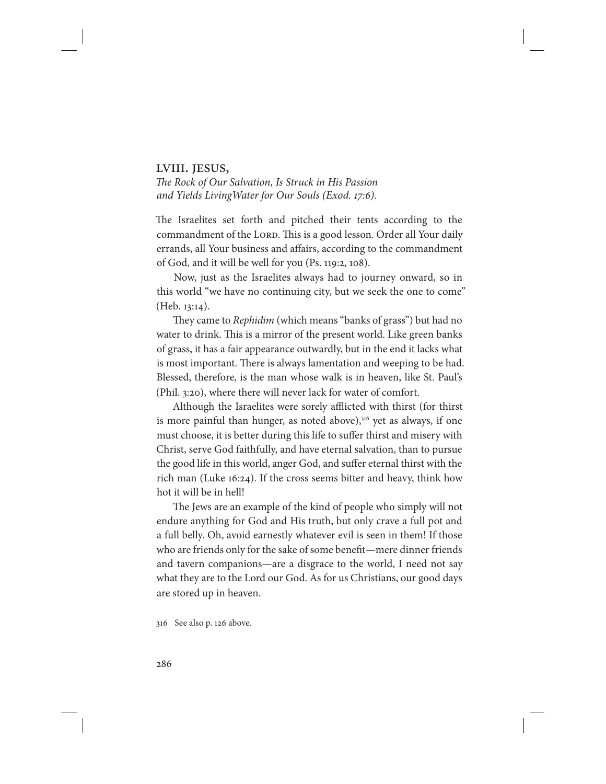## lviii. jesus,

The Rock of Our Salvation, Is Struck in His Passion and Yields LivingWater for Our Souls (Exod. 17:6).

The Israelites set forth and pitched their tents according to the commandment of the LORD. This is a good lesson. Order all Your daily errands, all Your business and affairs, according to the commandment of God, and it will be well for you (Ps. 119:2, 108).

Now, just as the Israelites always had to journey onward, so in this world "we have no continuing city, but we seek the one to come" (Heb. 13:14).

They came to Rephidim (which means "banks of grass") but had no water to drink. This is a mirror of the present world. Like green banks of grass, it has a fair appearance outwardly, but in the end it lacks what is most important. There is always lamentation and weeping to be had. Blessed, therefore, is the man whose walk is in heaven, like St. Paul's (Phil. 3:20), where there will never lack for water of comfort.

Although the Israelites were sorely afflicted with thirst (for thirst is more painful than hunger, as noted above), $316$  yet as always, if one must choose, it is better during this life to suffer thirst and misery with Christ, serve God faithfully, and have eternal salvation, than to pursue the good life in this world, anger God, and suffer eternal thirst with the rich man (Luke 16:24). If the cross seems bitter and heavy, think how hot it will be in hell!

The Jews are an example of the kind of people who simply will not endure anything for God and His truth, but only crave a full pot and a full belly. Oh, avoid earnestly whatever evil is seen in them! If those who are friends only for the sake of some benefit—mere dinner friends and tavern companions—are a disgrace to the world, I need not say what they are to the Lord our God. As for us Christians, our good days are stored up in heaven.

316 See also p. 126 above.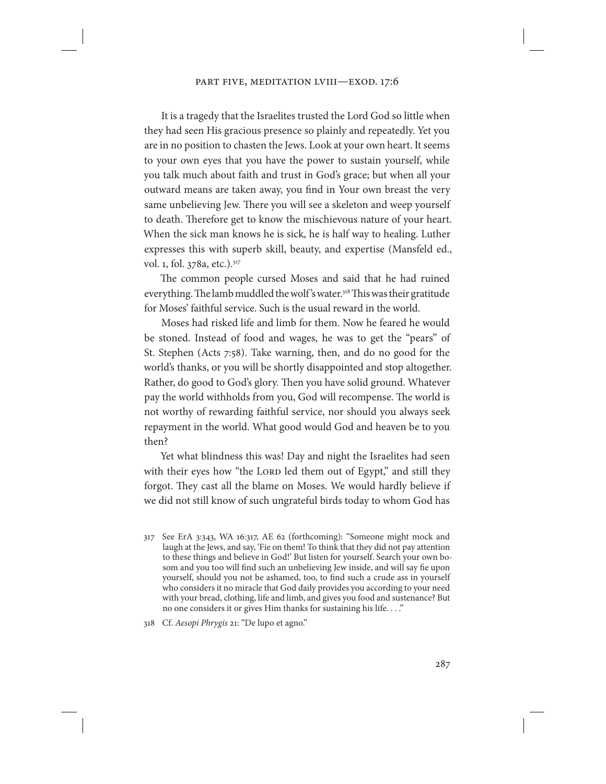It is a tragedy that the Israelites trusted the Lord God so little when they had seen His gracious presence so plainly and repeatedly. Yet you are in no position to chasten the Jews. Look at your own heart. It seems to your own eyes that you have the power to sustain yourself, while you talk much about faith and trust in God's grace; but when all your outward means are taken away, you find in Your own breast the very same unbelieving Jew. There you will see a skeleton and weep yourself to death. Therefore get to know the mischievous nature of your heart. When the sick man knows he is sick, he is half way to healing. Luther expresses this with superb skill, beauty, and expertise (Mansfeld ed., vol. 1, fol. 378a, etc.).<sup>317</sup>

The common people cursed Moses and said that he had ruined everything. The lamb muddled the wolf's water.<sup>318</sup> This was their gratitude for Moses' faithful service. Such is the usual reward in the world.

Moses had risked life and limb for them. Now he feared he would be stoned. Instead of food and wages, he was to get the "pears" of St. Stephen (Acts 7:58). Take warning, then, and do no good for the world's thanks, or you will be shortly disappointed and stop altogether. Rather, do good to God's glory. Then you have solid ground. Whatever pay the world withholds from you, God will recompense. The world is not worthy of rewarding faithful service, nor should you always seek repayment in the world. What good would God and heaven be to you then?

Yet what blindness this was! Day and night the Israelites had seen with their eyes how "the Lord led them out of Egypt," and still they forgot. They cast all the blame on Moses. We would hardly believe if we did not still know of such ungrateful birds today to whom God has

318 Cf. Aesopi Phrygis 21: "De lupo et agno."

<sup>317</sup> See ErA 3:343, WA 16:317, AE 62 (forthcoming): "Someone might mock and laugh at the Jews, and say, 'Fie on them! To think that they did not pay attention to these things and believe in God!' But listen for yourself. Search your own bosom and you too will find such an unbelieving Jew inside, and will say fie upon yourself, should you not be ashamed, too, to find such a crude ass in yourself who considers it no miracle that God daily provides you according to your need with your bread, clothing, life and limb, and gives you food and sustenance? But no one considers it or gives Him thanks for sustaining his life. . . ."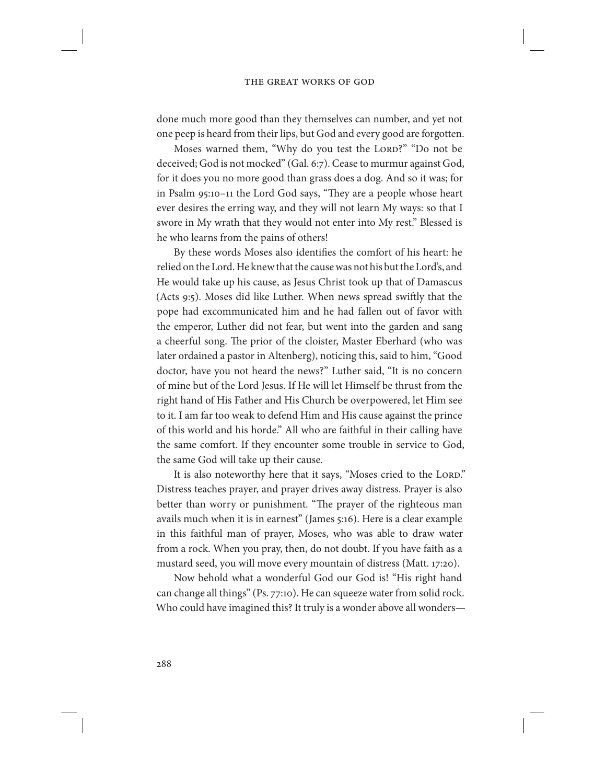done much more good than they themselves can number, and yet not one peep is heard from their lips, but God and every good are forgotten.

Moses warned them, "Why do you test the LORD?" "Do not be deceived; God is not mocked" (Gal. 6:7). Cease to murmur against God, for it does you no more good than grass does a dog. And so it was; for in Psalm 95:10-11 the Lord God says, "They are a people whose heart ever desires the erring way, and they will not learn My ways: so that I swore in My wrath that they would not enter into My rest." Blessed is he who learns from the pains of others!

By these words Moses also identifies the comfort of his heart: he relied on the Lord. He knew that the cause was not his but the Lord's, and He would take up his cause, as Jesus Christ took up that of Damascus (Acts 9:5). Moses did like Luther. When news spread swiftly that the pope had excommunicated him and he had fallen out of favor with the emperor, Luther did not fear, but went into the garden and sang a cheerful song. The prior of the cloister, Master Eberhard (who was later ordained a pastor in Altenberg), noticing this, said to him, "Good doctor, have you not heard the news?" Luther said, "It is no concern of mine but of the Lord Jesus. If He will let Himself be thrust from the right hand of His Father and His Church be overpowered, let Him see to it. I am far too weak to defend Him and His cause against the prince of this world and his horde." All who are faithful in their calling have the same comfort. If they encounter some trouble in service to God, the same God will take up their cause.

It is also noteworthy here that it says, "Moses cried to the LORD." Distress teaches prayer, and prayer drives away distress. Prayer is also better than worry or punishment. "The prayer of the righteous man avails much when it is in earnest" (James 5:16). Here is a clear example in this faithful man of prayer, Moses, who was able to draw water from a rock. When you pray, then, do not doubt. If you have faith as a mustard seed, you will move every mountain of distress (Matt. 17:20).

Now behold what a wonderful God our God is! "His right hand can change all things" (Ps. 77:10). He can squeeze water from solid rock. Who could have imagined this? It truly is a wonder above all wonders—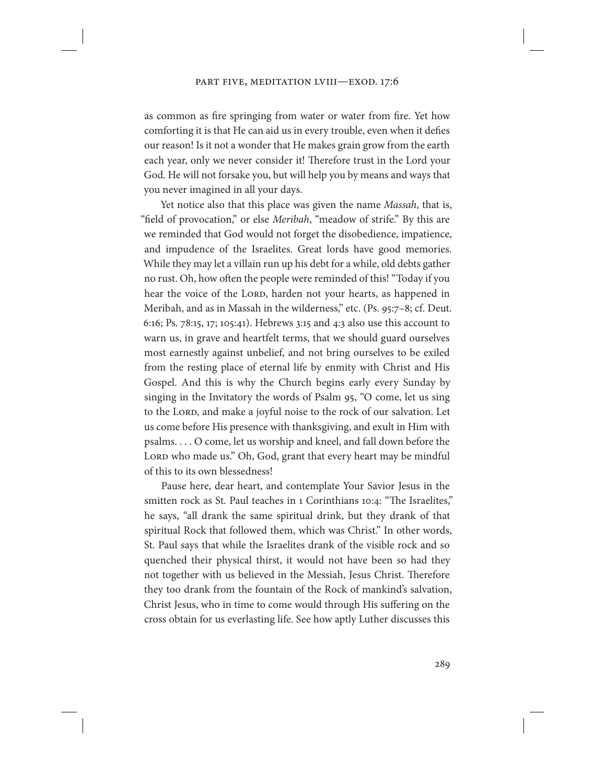as common as fire springing from water or water from fire. Yet how comforting it is that He can aid us in every trouble, even when it defies our reason! Is it not a wonder that He makes grain grow from the earth each year, only we never consider it! Therefore trust in the Lord your God. He will not forsake you, but will help you by means and ways that you never imagined in all your days.

Yet notice also that this place was given the name *Massah*, that is, "field of provocation," or else *Meribah*, "meadow of strife." By this are we reminded that God would not forget the disobedience, impatience, and impudence of the Israelites. Great lords have good memories. While they may let a villain run up his debt for a while, old debts gather no rust. Oh, how often the people were reminded of this! "Today if you hear the voice of the LORD, harden not your hearts, as happened in Meribah, and as in Massah in the wilderness," etc. (Ps. 95:7–8; cf. Deut. 6:16; Ps. 78:15, 17; 105:41). Hebrews 3:15 and 4:3 also use this account to warn us, in grave and heartfelt terms, that we should guard ourselves most earnestly against unbelief, and not bring ourselves to be exiled from the resting place of eternal life by enmity with Christ and His Gospel. And this is why the Church begins early every Sunday by singing in the Invitatory the words of Psalm 95, "O come, let us sing to the LORD, and make a joyful noise to the rock of our salvation. Let us come before His presence with thanksgiving, and exult in Him with psalms. . . . O come, let us worship and kneel, and fall down before the LORD who made us." Oh, God, grant that every heart may be mindful of this to its own blessedness!

Pause here, dear heart, and contemplate Your Savior Jesus in the smitten rock as St. Paul teaches in 1 Corinthians 10:4: "The Israelites," he says, "all drank the same spiritual drink, but they drank of that spiritual Rock that followed them, which was Christ." In other words, St. Paul says that while the Israelites drank of the visible rock and so quenched their physical thirst, it would not have been so had they not together with us believed in the Messiah, Jesus Christ. Therefore they too drank from the fountain of the Rock of mankind's salvation, Christ Jesus, who in time to come would through His suffering on the cross obtain for us everlasting life. See how aptly Luther discusses this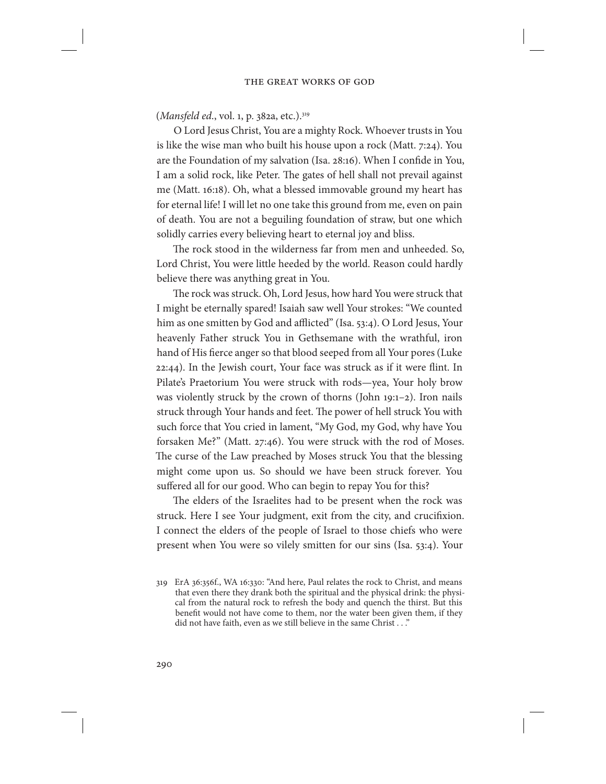## (*Mansfeld ed.*, vol. 1, p. 382a, etc.).<sup>319</sup>

O Lord Jesus Christ, You are a mighty Rock. Whoever trusts in You is like the wise man who built his house upon a rock (Matt. 7:24). You are the Foundation of my salvation (Isa. 28:16). When I confide in You, I am a solid rock, like Peter. The gates of hell shall not prevail against me (Matt. 16:18). Oh, what a blessed immovable ground my heart has for eternal life! I will let no one take this ground from me, even on pain of death. You are not a beguiling foundation of straw, but one which solidly carries every believing heart to eternal joy and bliss.

The rock stood in the wilderness far from men and unheeded. So, Lord Christ, You were little heeded by the world. Reason could hardly believe there was anything great in You.

The rock was struck. Oh, Lord Jesus, how hard You were struck that I might be eternally spared! Isaiah saw well Your strokes: "We counted him as one smitten by God and afflicted" (Isa. 53:4). O Lord Jesus, Your heavenly Father struck You in Gethsemane with the wrathful, iron hand of His fierce anger so that blood seeped from all Your pores (Luke  $22:44$ ). In the Jewish court, Your face was struck as if it were flint. In Pilate's Praetorium You were struck with rods—yea, Your holy brow was violently struck by the crown of thorns (John 19:1–2). Iron nails struck through Your hands and feet. The power of hell struck You with such force that You cried in lament, "My God, my God, why have You forsaken Me?" (Matt. 27:46). You were struck with the rod of Moses. The curse of the Law preached by Moses struck You that the blessing might come upon us. So should we have been struck forever. You suffered all for our good. Who can begin to repay You for this?

The elders of the Israelites had to be present when the rock was struck. Here I see Your judgment, exit from the city, and crucifixion. I connect the elders of the people of Israel to those chiefs who were present when You were so vilely smitten for our sins (Isa. 53:4). Your

<sup>319</sup> ErA 36:356f., WA 16:330: "And here, Paul relates the rock to Christ, and means that even there they drank both the spiritual and the physical drink: the physical from the natural rock to refresh the body and quench the thirst. But this benefit would not have come to them, nor the water been given them, if they did not have faith, even as we still believe in the same Christ . . ."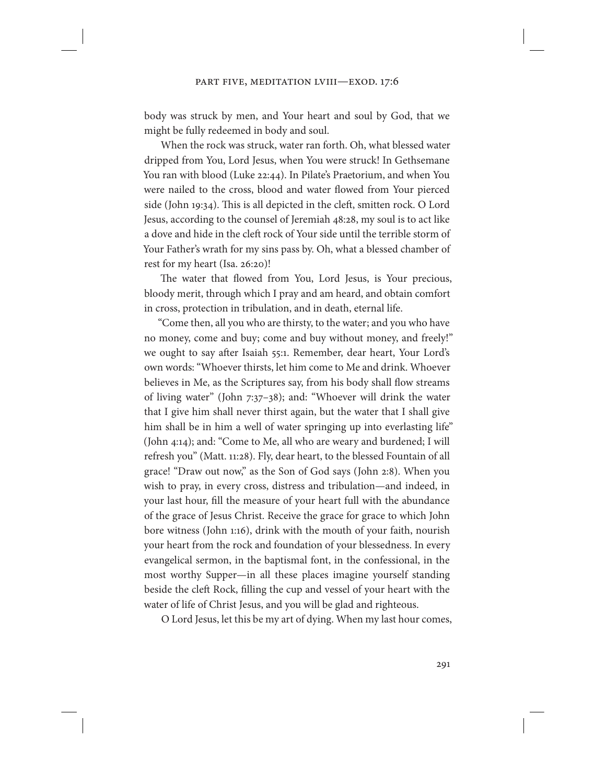body was struck by men, and Your heart and soul by God, that we might be fully redeemed in body and soul.

When the rock was struck, water ran forth. Oh, what blessed water dripped from You, Lord Jesus, when You were struck! In Gethsemane You ran with blood (Luke 22:44). In Pilate's Praetorium, and when You were nailed to the cross, blood and water flowed from Your pierced side (John 19:34). This is all depicted in the cleft, smitten rock. O Lord Jesus, according to the counsel of Jeremiah 48:28, my soul is to act like a dove and hide in the cleft rock of Your side until the terrible storm of Your Father's wrath for my sins pass by. Oh, what a blessed chamber of rest for my heart (Isa. 26:20)!

The water that flowed from You, Lord Jesus, is Your precious, bloody merit, through which I pray and am heard, and obtain comfort in cross, protection in tribulation, and in death, eternal life.

"Come then, all you who are thirsty, to the water; and you who have no money, come and buy; come and buy without money, and freely!" we ought to say after Isaiah 55:1. Remember, dear heart, Your Lord's own words: "Whoever thirsts, let him come to Me and drink. Whoever believes in Me, as the Scriptures say, from his body shall flow streams of living water" (John 7:37–38); and: "Whoever will drink the water that I give him shall never thirst again, but the water that I shall give him shall be in him a well of water springing up into everlasting life" (John 4:14); and: "Come to Me, all who are weary and burdened; I will refresh you" (Matt. 11:28). Fly, dear heart, to the blessed Fountain of all grace! "Draw out now," as the Son of God says (John 2:8). When you wish to pray, in every cross, distress and tribulation—and indeed, in your last hour, fill the measure of your heart full with the abundance of the grace of Jesus Christ. Receive the grace for grace to which John bore witness (John 1:16), drink with the mouth of your faith, nourish your heart from the rock and foundation of your blessedness. In every evangelical sermon, in the baptismal font, in the confessional, in the most worthy Supper—in all these places imagine yourself standing beside the cleft Rock, filling the cup and vessel of your heart with the water of life of Christ Jesus, and you will be glad and righteous.

O Lord Jesus, let this be my art of dying. When my last hour comes,